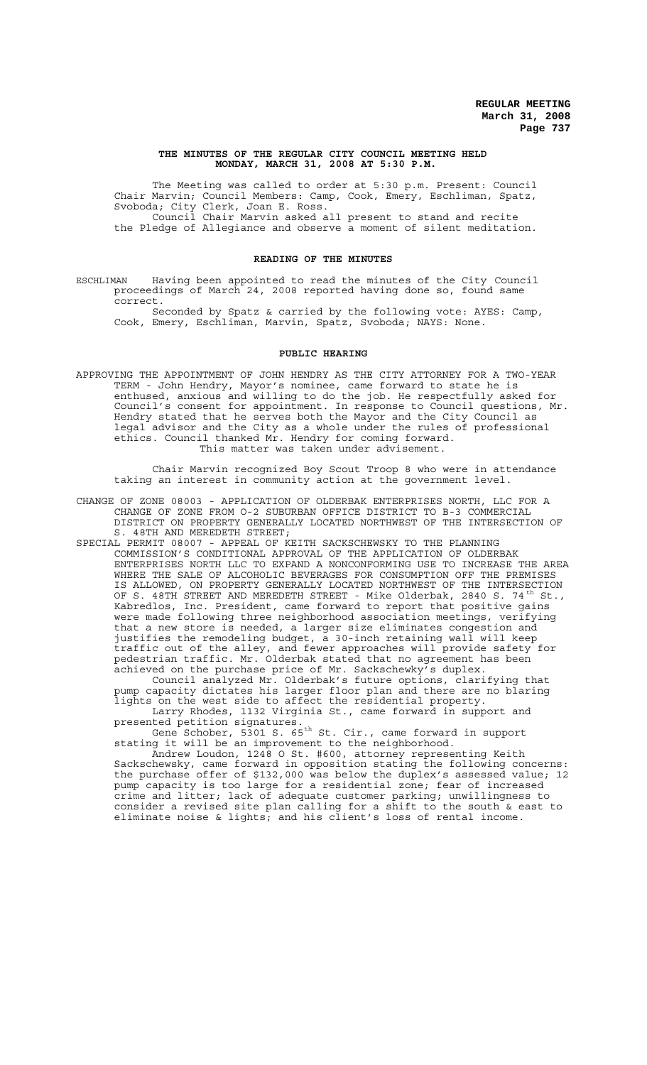### **THE MINUTES OF THE REGULAR CITY COUNCIL MEETING HELD MONDAY, MARCH 31, 2008 AT 5:30 P.M.**

The Meeting was called to order at 5:30 p.m. Present: Council Chair Marvin; Council Members: Camp, Cook, Emery, Eschliman, Spatz, Svoboda; City Clerk, Joan E. Ross. Council Chair Marvin asked all present to stand and recite the Pledge of Allegiance and observe a moment of silent meditation.

### **READING OF THE MINUTES**

ESCHLIMAN Having been appointed to read the minutes of the City Council proceedings of March 24, 2008 reported having done so, found same correct.

Seconded by Spatz & carried by the following vote: AYES: Camp, Cook, Emery, Eschliman, Marvin, Spatz, Svoboda; NAYS: None.

#### **PUBLIC HEARING**

APPROVING THE APPOINTMENT OF JOHN HENDRY AS THE CITY ATTORNEY FOR A TWO-YEAR TERM - John Hendry, Mayor's nominee, came forward to state he is enthused, anxious and willing to do the job. He respectfully asked for Council's consent for appointment. In response to Council questions, Mr. Hendry stated that he serves both the Mayor and the City Council as legal advisor and the City as a whole under the rules of professional ethics. Council thanked Mr. Hendry for coming forward. This matter was taken under advisement.

Chair Marvin recognized Boy Scout Troop 8 who were in attendance taking an interest in community action at the government level.

- CHANGE OF ZONE 08003 APPLICATION OF OLDERBAK ENTERPRISES NORTH, LLC FOR A CHANGE OF ZONE FROM O-2 SUBURBAN OFFICE DISTRICT TO B-3 COMMERCIAL DISTRICT ON PROPERTY GENERALLY LOCATED NORTHWEST OF THE INTERSECTION OF S. 48TH AND MEREDETH STREET;
- SPECIAL PERMIT 08007 APPEAL OF KEITH SACKSCHEWSKY TO THE PLANNING COMMISSION'S CONDITIONAL APPROVAL OF THE APPLICATION OF OLDERBAK ENTERPRISES NORTH LLC TO EXPAND A NONCONFORMING USE TO INCREASE THE AREA WHERE THE SALE OF ALCOHOLIC BEVERAGES FOR CONSUMPTION OFF THE PREMISES IS ALLOWED, ON PROPERTY GENERALLY LOCATED NORTHWEST OF THE INTERSECTION OF S. 48TH STREET AND MEREDETH STREET - Mike Olderbak, 2840 S. 74<sup>th</sup> St., Kabredlos, Inc. President, came forward to report that positive gains were made following three neighborhood association meetings, verifying that a new store is needed, a larger size eliminates congestion and justifies the remodeling budget, a 30-inch retaining wall will keep traffic out of the alley, and fewer approaches will provide safety for pedestrian traffic. Mr. Olderbak stated that no agreement has been achieved on the purchase price of Mr. Sackschewky's duplex.

Council analyzed Mr. Olderbak's future options, clarifying that pump capacity dictates his larger floor plan and there are no blaring lights on the west side to affect the residential property. Larry Rhodes, 1132 Virginia St., came forward in support and

presented petition signatures. Gene Schober, 5301 S. 65<sup>th</sup> St. Cir., came forward in support

stating it will be an improvement to the neighborhood. Andrew Loudon, 1248 O St. #600, attorney representing Keith

Sackschewsky, came forward in opposition stating the following concerns: the purchase offer of \$132,000 was below the duplex's assessed value; 12 pump capacity is too large for a residential zone; fear of increased crime and litter; lack of adequate customer parking; unwillingness to consider a revised site plan calling for a shift to the south  $\&$  east to eliminate noise & lights; and his client's loss of rental income.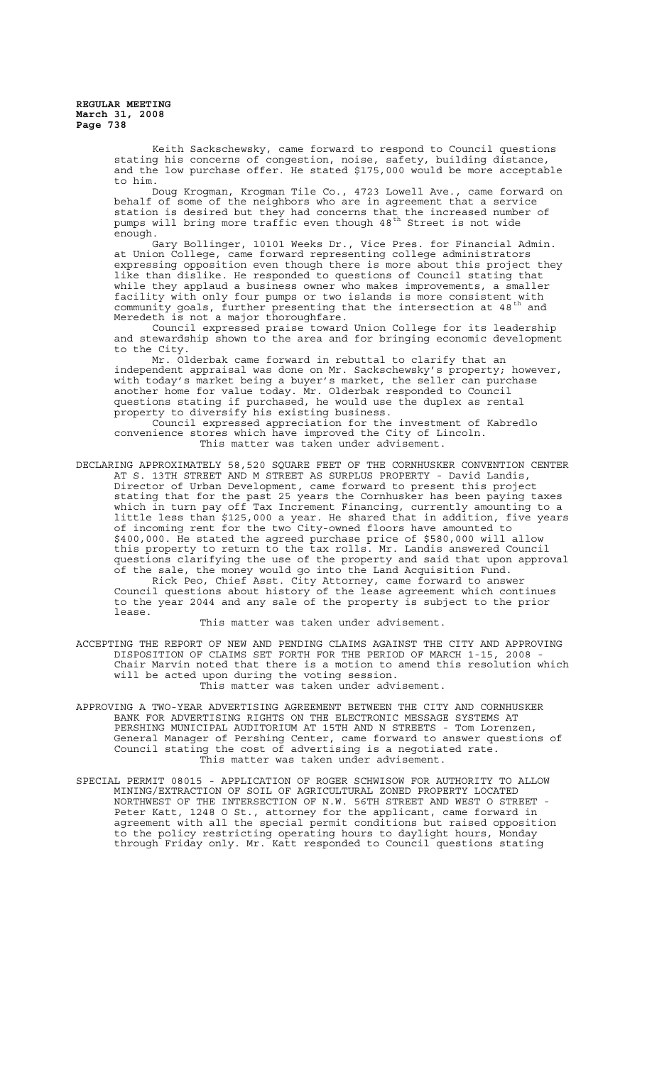> Keith Sackschewsky, came forward to respond to Council questions stating his concerns of congestion, noise, safety, building distance, and the low purchase offer. He stated \$175,000 would be more acceptable to him.

> Doug Krogman, Krogman Tile Co., 4723 Lowell Ave., came forward on behalf of some of the neighbors who are in agreement that a service station is desired but they had concerns that the increased number of pumps will bring more traffic even though 48<sup>th</sup> Street is not wide enough.

> Gary Bollinger, 10101 Weeks Dr., Vice Pres. for Financial Admin. at Union College, came forward representing college administrators expressing opposition even though there is more about this project they like than dislike. He responded to questions of Council stating that while they applaud a business owner who makes improvements, a smaller facility with only four pumps or two islands is more consistent with community goals, further presenting that the intersection at 48<sup>th</sup> and Meredeth is not a major thoroughfare.

> Council expressed praise toward Union College for its leadership and stewardship shown to the area and for bringing economic development to the City.

> Mr. Olderbak came forward in rebuttal to clarify that an independent appraisal was done on Mr. Sackschewsky's property; however, with today's market being a buyer's market, the seller can purchase another home for value today. Mr. Olderbak responded to Council questions stating if purchased, he would use the duplex as rental property to diversify his existing business.

Council expressed appreciation for the investment of Kabredlo convenience stores which have improved the City of Lincoln. This matter was taken under advisement.

DECLARING APPROXIMATELY 58,520 SQUARE FEET OF THE CORNHUSKER CONVENTION CENTER AT S. 13TH STREET AND M STREET AS SURPLUS PROPERTY - David Landis, Director of Urban Development, came forward to present this project stating that for the past 25 years the Cornhusker has been paying taxes which in turn pay off Tax Increment Financing, currently amounting to a little less than \$125,000 a year. He shared that in addition, five years of incoming rent for the two City-owned floors have amounted to \$400,000. He stated the agreed purchase price of \$580,000 will allow this property to return to the tax rolls. Mr. Landis answered Council questions clarifying the use of the property and said that upon approval of the sale, the money would go into the Land Acquisition Fund. Rick Peo, Chief Asst. City Attorney, came forward to answer

Council questions about history of the lease agreement which continues to the year 2044 and any sale of the property is subject to the prior lease.

This matter was taken under advisement.

ACCEPTING THE REPORT OF NEW AND PENDING CLAIMS AGAINST THE CITY AND APPROVING DISPOSITION OF CLAIMS SET FORTH FOR THE PERIOD OF MARCH 1-15, 2008 - Chair Marvin noted that there is a motion to amend this resolution which will be acted upon during the voting session. This matter was taken under advisement.

- APPROVING A TWO-YEAR ADVERTISING AGREEMENT BETWEEN THE CITY AND CORNHUSKER BANK FOR ADVERTISING RIGHTS ON THE ELECTRONIC MESSAGE SYSTEMS AT PERSHING MUNICIPAL AUDITORIUM AT 15TH AND N STREETS - Tom Lorenzen, General Manager of Pershing Center, came forward to answer questions of Council stating the cost of advertising is a negotiated rate. This matter was taken under advisement.
- SPECIAL PERMIT 08015 APPLICATION OF ROGER SCHWISOW FOR AUTHORITY TO ALLOW MINING/EXTRACTION OF SOIL OF AGRICULTURAL ZONED PROPERTY LOCATED NORTHWEST OF THE INTERSECTION OF N.W. 56TH STREET AND WEST O STREET Peter Katt, 1248 O St., attorney for the applicant, came forward in agreement with all the special permit conditions but raised opposition to the policy restricting operating hours to daylight hours, Monday through Friday only. Mr. Katt responded to Council questions stating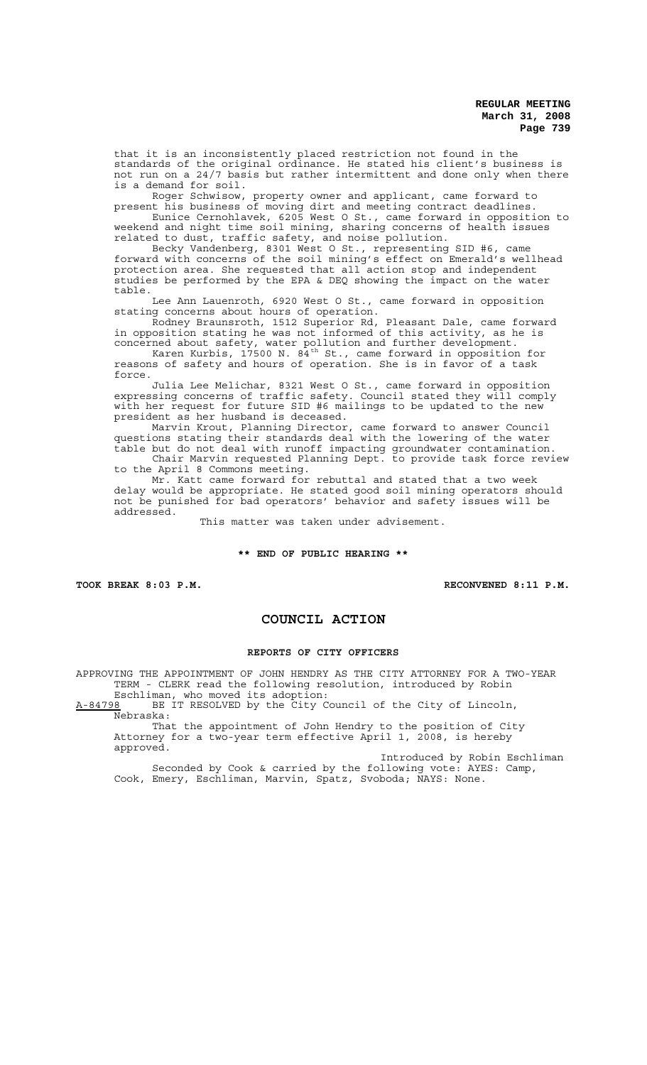that it is an inconsistently placed restriction not found in the standards of the original ordinance. He stated his client's business is not run on a 24/7 basis but rather intermittent and done only when there is a demand for soil.

Roger Schwisow, property owner and applicant, came forward to present his business of moving dirt and meeting contract deadlines.

Eunice Cernohlavek, 6205 West O St., came forward in opposition to weekend and night time soil mining, sharing concerns of health issues related to dust, traffic safety, and noise pollution.

Becky Vandenberg, 8301 West O St., representing SID #6, came forward with concerns of the soil mining's effect on Emerald's wellhead protection area. She requested that all action stop and independent studies be performed by the EPA & DEQ showing the impact on the water table.

Lee Ann Lauenroth, 6920 West O St., came forward in opposition stating concerns about hours of operation.

Rodney Braunsroth, 1512 Superior Rd, Pleasant Dale, came forward in opposition stating he was not informed of this activity, as he is concerned about safety, water pollution and further development.

Karen Kurbis, 17500 N.  $84^{\text{th}}$  St., came forward in opposition for reasons of safety and hours of operation. She is in favor of a task force.

Julia Lee Melichar, 8321 West O St., came forward in opposition expressing concerns of traffic safety. Council stated they will comply with her request for future SID #6 mailings to be updated to the new president as her husband is deceased.

Marvin Krout, Planning Director, came forward to answer Council questions stating their standards deal with the lowering of the water table but do not deal with runoff impacting groundwater contamination. Chair Marvin requested Planning Dept. to provide task force review

to the April 8 Commons meeting. Mr. Katt came forward for rebuttal and stated that a two week delay would be appropriate. He stated good soil mining operators should not be punished for bad operators' behavior and safety issues will be addressed.

This matter was taken under advisement.

### **\*\* END OF PUBLIC HEARING \*\***

TOOK BREAK 8:03 P.M. **RECONVENED 8:11 P.M.** 

## **COUNCIL ACTION**

#### **REPORTS OF CITY OFFICERS**

APPROVING THE APPOINTMENT OF JOHN HENDRY AS THE CITY ATTORNEY FOR A TWO-YEAR TERM - CLERK read the following resolution, introduced by Robin

Eschliman, who moved its adoption:<br>A-84798 BE IT RESOLVED by the City C BE IT RESOLVED by the City Council of the City of Lincoln, Nebraska:

That the appointment of John Hendry to the position of City Attorney for a two-year term effective April 1, 2008, is hereby approved.

Introduced by Robin Eschliman Seconded by Cook & carried by the following vote: AYES: Camp, Cook, Emery, Eschliman, Marvin, Spatz, Svoboda; NAYS: None.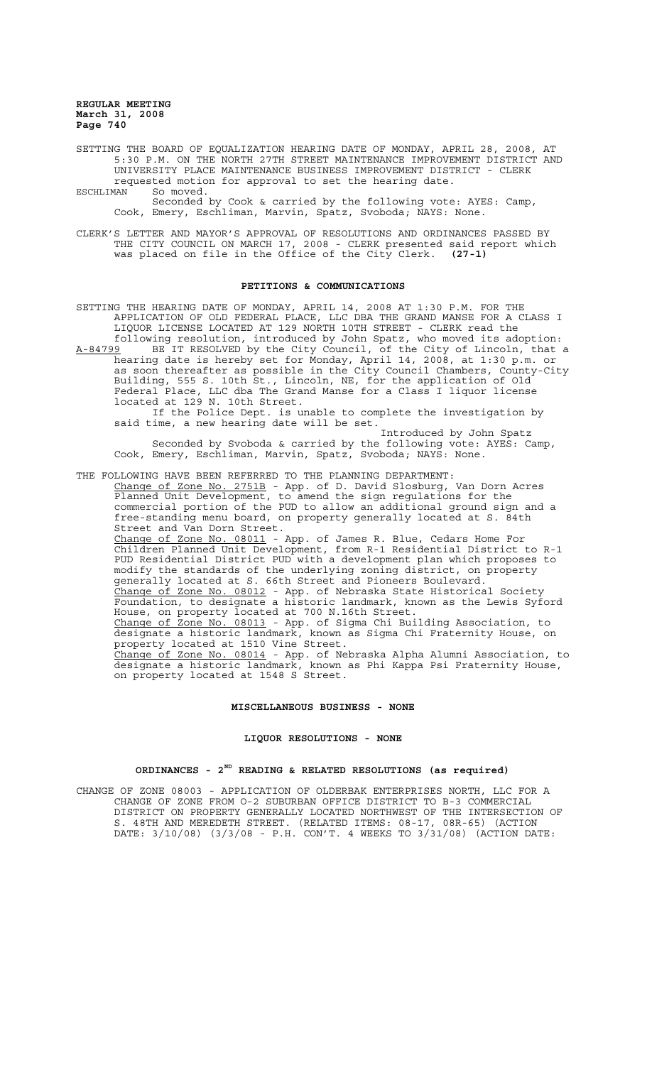SETTING THE BOARD OF EQUALIZATION HEARING DATE OF MONDAY, APRIL 28, 2008, AT 5:30 P.M. ON THE NORTH 27TH STREET MAINTENANCE IMPROVEMENT DISTRICT AND UNIVERSITY PLACE MAINTENANCE BUSINESS IMPROVEMENT DISTRICT - CLERK requested motion for approval to set the hearing date.

ESCHLIMAN So moved.

Seconded by Cook & carried by the following vote: AYES: Camp, Cook, Emery, Eschliman, Marvin, Spatz, Svoboda; NAYS: None.

CLERK'S LETTER AND MAYOR'S APPROVAL OF RESOLUTIONS AND ORDINANCES PASSED BY THE CITY COUNCIL ON MARCH 17, 2008 - CLERK presented said report which was placed on file in the Office of the City Clerk. **(27-1)**

#### **PETITIONS & COMMUNICATIONS**

SETTING THE HEARING DATE OF MONDAY, APRIL 14, 2008 AT 1:30 P.M. FOR THE APPLICATION OF OLD FEDERAL PLACE, LLC DBA THE GRAND MANSE FOR A CLASS I LIQUOR LICENSE LOCATED AT 129 NORTH 10TH STREET - CLERK read the following resolution, introduced by John Spatz, who moved its adoption: A-84799 BE IT RESOLVED by the City Council, of the City of Lincoln, that a

hearing date is hereby set for Monday, April 14, 2008, at 1:30 p.m. or as soon thereafter as possible in the City Council Chambers, County-City Building, 555 S. 10th St., Lincoln, NE, for the application of Old Federal Place, LLC dba The Grand Manse for a Class I liquor license located at 129 N. 10th Street.

If the Police Dept. is unable to complete the investigation by said time, a new hearing date will be set.

Introduced by John Spatz Seconded by Svoboda & carried by the following vote: AYES: Camp, Cook, Emery, Eschliman, Marvin, Spatz, Svoboda; NAYS: None.

THE FOLLOWING HAVE BEEN REFERRED TO THE PLANNING DEPARTMENT:

Change of Zone No. 2751B - App. of D. David Slosburg, Van Dorn Acres Planned Unit Development, to amend the sign regulations for the commercial portion of the PUD to allow an additional ground sign and a free-standing menu board, on property generally located at S. 84th Street and Van Dorn Street. Change of Zone No. 08011 - App. of James R. Blue, Cedars Home For Children Planned Unit Development, from R-1 Residential District to R-1 PUD Residential District PUD with a development plan which proposes to modify the standards of the underlying zoning district, on property generally located at S. 66th Street and Pioneers Boulevard. Change of Zone No. 08012 - App. of Nebraska State Historical Society Foundation, to designate a historic landmark, known as the Lewis Syford House, on property located at 700 N.16th Street. Change of Zone No. 08013 - App. of Sigma Chi Building Association, to designate a historic landmark, known as Sigma Chi Fraternity House, on property located at 1510 Vine Street. Change of Zone No. 08014 - App. of Nebraska Alpha Alumni Association, to designate a historic landmark, known as Phi Kappa Psi Fraternity House, on property located at 1548 S Street.

### **MISCELLANEOUS BUSINESS - NONE**

## **LIQUOR RESOLUTIONS - NONE**

### **ORDINANCES - 2ND READING & RELATED RESOLUTIONS (as required)**

CHANGE OF ZONE 08003 - APPLICATION OF OLDERBAK ENTERPRISES NORTH, LLC FOR A CHANGE OF ZONE FROM O-2 SUBURBAN OFFICE DISTRICT TO B-3 COMMERCIAL DISTRICT ON PROPERTY GENERALLY LOCATED NORTHWEST OF THE INTERSECTION OF S. 48TH AND MEREDETH STREET. (RELATED ITEMS: 08-17, 08R-65) (ACTION DATE: 3/10/08) (3/3/08 - P.H. CON'T. 4 WEEKS TO 3/31/08) (ACTION DATE: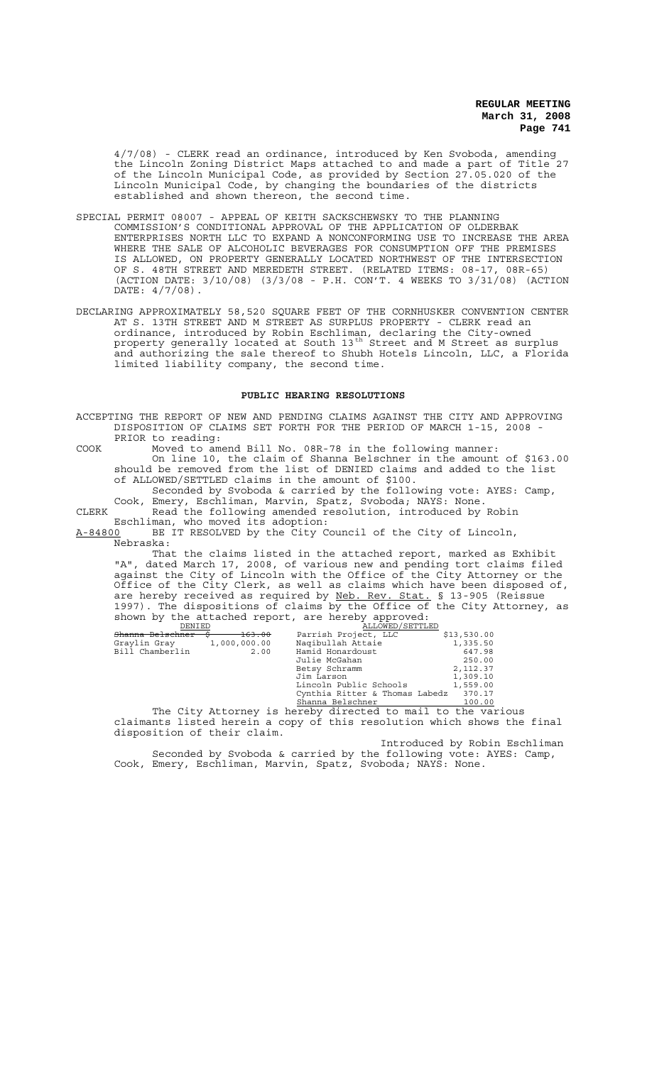4/7/08) - CLERK read an ordinance, introduced by Ken Svoboda, amending the Lincoln Zoning District Maps attached to and made a part of Title 27 of the Lincoln Municipal Code, as provided by Section 27.05.020 of the Lincoln Municipal Code, by changing the boundaries of the districts established and shown thereon, the second time.

- SPECIAL PERMIT 08007 APPEAL OF KEITH SACKSCHEWSKY TO THE PLANNING COMMISSION'S CONDITIONAL APPROVAL OF THE APPLICATION OF OLDERBAK ENTERPRISES NORTH LLC TO EXPAND A NONCONFORMING USE TO INCREASE THE AREA WHERE THE SALE OF ALCOHOLIC BEVERAGES FOR CONSUMPTION OFF THE PREMISES IS ALLOWED, ON PROPERTY GENERALLY LOCATED NORTHWEST OF THE INTERSECTION OF S. 48TH STREET AND MEREDETH STREET. (RELATED ITEMS: 08-17, 08R-65) (ACTION DATE: 3/10/08) (3/3/08 - P.H. CON'T. 4 WEEKS TO 3/31/08) (ACTION DATE: 4/7/08).
- DECLARING APPROXIMATELY 58,520 SQUARE FEET OF THE CORNHUSKER CONVENTION CENTER AT S. 13TH STREET AND M STREET AS SURPLUS PROPERTY - CLERK read an ordinance, introduced by Robin Eschliman, declaring the City-owned property generally located at South 13<sup>th</sup> Street and M Street as surplus and authorizing the sale thereof to Shubh Hotels Lincoln, LLC, a Florida limited liability company, the second time.

## **PUBLIC HEARING RESOLUTIONS**

ACCEPTING THE REPORT OF NEW AND PENDING CLAIMS AGAINST THE CITY AND APPROVING DISPOSITION OF CLAIMS SET FORTH FOR THE PERIOD OF MARCH 1-15, 2008 - PRIOR to reading:

COOK Moved to amend Bill No. 08R-78 in the following manner: On line 10, the claim of Shanna Belschner in the amount of \$163.00 should be removed from the list of DENIED claims and added to the list of ALLOWED/SETTLED claims in the amount of \$100.

Seconded by Svoboda & carried by the following vote: AYES: Camp, Cook, Emery, Eschliman, Marvin, Spatz, Svoboda; NAYS: None. CLERK Read the following amended resolution, introduced by Robin

Eschliman, who moved its adoption:<br>A-84800 BE IT RESOLVED by the City C

BE IT RESOLVED by the City Council of the City of Lincoln, Nebraska:

That the claims listed in the attached report, marked as Exhibit "A", dated March 17, 2008, of various new and pending tort claims filed against the City of Lincoln with the Office of the City Attorney or the Office of the City Clerk, as well as claims which have been disposed of, are hereby received as required by Neb. Rev. Stat. § 13-905 (Reissue 1997). The dispositions of claims by the Office of the City Attorney, as shown by the attached report, are hereby approved:<br>
<u>DENIED</u> ALLOWED/SETTLED

| DENIED                  |              | ALLUWED / SEIILED                      |               |
|-------------------------|--------------|----------------------------------------|---------------|
| Shanna Belschner        | 163.00       | Parrish Project, LLC                   | \$13,530.00   |
| Graylin Gray            | 1,000,000.00 | Nagibullah Attaie                      | 1,335.50      |
| Bill Chamberlin         | 2.00         | Hamid Honardoust                       | 647.98        |
|                         |              | Julie McGahan                          | 250.00        |
|                         |              | Betsy Schramm                          | 2,112.37      |
|                         |              | Jim Larson                             | 1,309.10      |
|                         |              | Lincoln Public Schools                 | 1,559.00      |
|                         |              | Cynthia Ritter & Thomas Labedz         | 370.17        |
|                         |              | Shanna Belschner                       | 100.00        |
| المساحي المساحي<br>$-1$ |              | $\mathbf{a}$ . The set of $\mathbf{a}$ | $\sim$ $\sim$ |

The City Attorney is hereby directed to mail to the various claimants listed herein a copy of this resolution which shows the final disposition of their claim.

Introduced by Robin Eschliman Seconded by Svoboda & carried by the following vote: AYES: Camp, Cook, Emery, Eschliman, Marvin, Spatz, Svoboda; NAYS: None.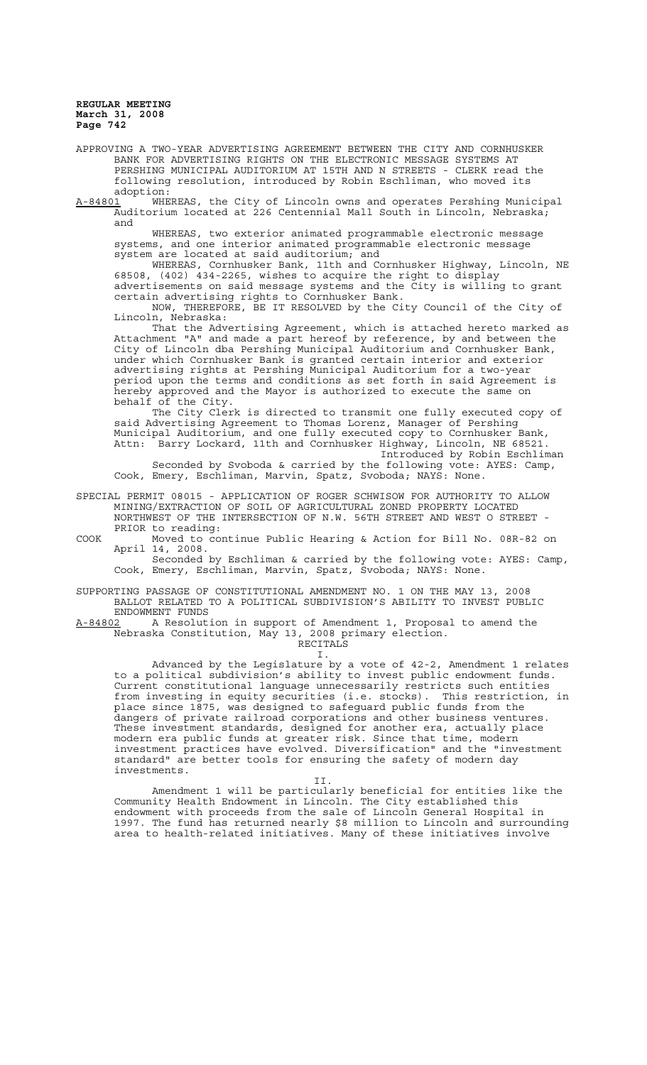APPROVING A TWO-YEAR ADVERTISING AGREEMENT BETWEEN THE CITY AND CORNHUSKER BANK FOR ADVERTISING RIGHTS ON THE ELECTRONIC MESSAGE SYSTEMS AT PERSHING MUNICIPAL AUDITORIUM AT 15TH AND N STREETS - CLERK read the following resolution, introduced by Robin Eschliman, who moved its adoption:<br>A-84801 WHE

A-84801 WHEREAS, the City of Lincoln owns and operates Pershing Municipal Auditorium located at 226 Centennial Mall South in Lincoln, Nebraska; and

WHEREAS, two exterior animated programmable electronic message systems, and one interior animated programmable electronic message system are located at said auditorium; and

WHEREAS, Cornhusker Bank, 11th and Cornhusker Highway, Lincoln, NE 68508, (402) 434-2265, wishes to acquire the right to display advertisements on said message systems and the City is willing to grant certain advertising rights to Cornhusker Bank.

NOW, THEREFORE, BE IT RESOLVED by the City Council of the City of Lincoln, Nebraska:

That the Advertising Agreement, which is attached hereto marked as Attachment "A" and made a part hereof by reference, by and between the City of Lincoln dba Pershing Municipal Auditorium and Cornhusker Bank, under which Cornhusker Bank is granted certain interior and exterior advertising rights at Pershing Municipal Auditorium for a two-year period upon the terms and conditions as set forth in said Agreement is hereby approved and the Mayor is authorized to execute the same on behalf of the City.

The City Clerk is directed to transmit one fully executed copy of said Advertising Agreement to Thomas Lorenz, Manager of Pershing Municipal Auditorium, and one fully executed copy to Cornhusker Bank, Attn: Barry Lockard, 11th and Cornhusker Highway, Lincoln, NE 68521. Introduced by Robin Eschliman

Seconded by Svoboda & carried by the following vote: AYES: Camp, Cook, Emery, Eschliman, Marvin, Spatz, Svoboda; NAYS: None.

SPECIAL PERMIT 08015 - APPLICATION OF ROGER SCHWISOW FOR AUTHORITY TO ALLOW MINING/EXTRACTION OF SOIL OF AGRICULTURAL ZONED PROPERTY LOCATED NORTHWEST OF THE INTERSECTION OF N.W. 56TH STREET AND WEST O STREET - PRIOR to reading:

COOK Moved to continue Public Hearing & Action for Bill No. 08R-82 on April 14, 2008.

Seconded by Eschliman & carried by the following vote: AYES: Camp, Cook, Emery, Eschliman, Marvin, Spatz, Svoboda; NAYS: None.

SUPPORTING PASSAGE OF CONSTITUTIONAL AMENDMENT NO. 1 ON THE MAY 13, 2008 BALLOT RELATED TO A POLITICAL SUBDIVISION'S ABILITY TO INVEST PUBLIC ENDOWMENT FUNDS

A-84802 A Resolution in support of Amendment 1, Proposal to amend the Nebraska Constitution, May 13, 2008 primary election. RECITALS

I.

Advanced by the Legislature by a vote of 42-2, Amendment 1 relates to a political subdivision's ability to invest public endowment funds. Current constitutional language unnecessarily restricts such entities from investing in equity securities (i.e. stocks). This restriction, in place since 1875, was designed to safeguard public funds from the dangers of private railroad corporations and other business ventures. These investment standards, designed for another era, actually place modern era public funds at greater risk. Since that time, modern investment practices have evolved. Diversification" and the "investment standard" are better tools for ensuring the safety of modern day investments.

II. Amendment 1 will be particularly beneficial for entities like the Community Health Endowment in Lincoln. The City established this endowment with proceeds from the sale of Lincoln General Hospital in 1997. The fund has returned nearly \$8 million to Lincoln and surrounding area to health-related initiatives. Many of these initiatives involve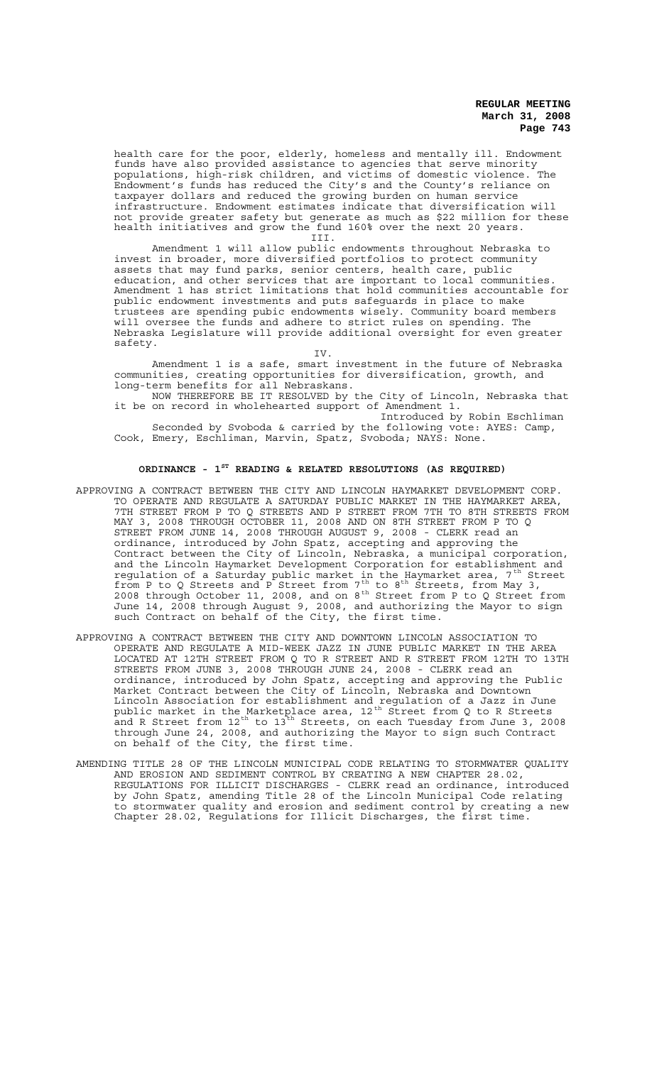health care for the poor, elderly, homeless and mentally ill. Endowment funds have also provided assistance to agencies that serve minority populations, high-risk children, and victims of domestic violence. The Endowment's funds has reduced the City's and the County's reliance on taxpayer dollars and reduced the growing burden on human service infrastructure. Endowment estimates indicate that diversification will not provide greater safety but generate as much as \$22 million for these health initiatives and grow the fund 160% over the next 20 years.

III.

Amendment 1 will allow public endowments throughout Nebraska to invest in broader, more diversified portfolios to protect community assets that may fund parks, senior centers, health care, public education, and other services that are important to local communities. Amendment 1 has strict limitations that hold communities accountable for public endowment investments and puts safeguards in place to make trustees are spending pubic endowments wisely. Community board members will oversee the funds and adhere to strict rules on spending. The Nebraska Legislature will provide additional oversight for even greater safety.

IV.

Amendment 1 is a safe, smart investment in the future of Nebraska communities, creating opportunities for diversification, growth, and long-term benefits for all Nebraskans.

NOW THEREFORE BE IT RESOLVED by the City of Lincoln, Nebraska that it be on record in wholehearted support of Amendment 1.

Introduced by Robin Eschliman Seconded by Svoboda & carried by the following vote: AYES: Camp, Cook, Emery, Eschliman, Marvin, Spatz, Svoboda; NAYS: None.

## **ORDINANCE - 1ST READING & RELATED RESOLUTIONS (AS REQUIRED)**

- APPROVING A CONTRACT BETWEEN THE CITY AND LINCOLN HAYMARKET DEVELOPMENT CORP. TO OPERATE AND REGULATE A SATURDAY PUBLIC MARKET IN THE HAYMARKET AREA, 7TH STREET FROM P TO Q STREETS AND P STREET FROM 7TH TO 8TH STREETS FROM<br>MAY 3, 2008 THROUGH OCTOBER 11, 2008 AND ON 8TH STREET FROM P TO Q MAY 3, 2008 THROUGH OCTOBER 11, 2008 AND ON 8TH STREET FROM P TO Q STREET FROM JUNE 14, 2008 THROUGH AUGUST 9, 2008 - CLERK read an ordinance, introduced by John Spatz, accepting and approving the Contract between the City of Lincoln, Nebraska, a municipal corporation, and the Lincoln Haymarket Development Corporation for establishment and regulation of a Saturday public market in the Haymarket area, 7<sup>th</sup> Street from P to Q Streets and P Street from  $7^{th}$  to  $8^{th}$  Streets, from May 3, 2008 through October 11, 2008, and on  $8^{th}$  Street from P to Q Street from June 14, 2008 through August 9, 2008, and authorizing the Mayor to sign such Contract on behalf of the City, the first time.
- APPROVING A CONTRACT BETWEEN THE CITY AND DOWNTOWN LINCOLN ASSOCIATION TO OPERATE AND REGULATE A MID-WEEK JAZZ IN JUNE PUBLIC MARKET IN THE AREA LOCATED AT 12TH STREET FROM Q TO R STREET AND R STREET FROM 12TH TO 13TH STREETS FROM JUNE 3, 2008 THROUGH JUNE 24, 2008 - CLERK read an ordinance, introduced by John Spatz, accepting and approving the Public Market Contract between the City of Lincoln, Nebraska and Downtown Lincoln Association for establishment and regulation of a Jazz in June public market in the Marketplace area,  $12^{\text{th}}$  Street from Q to R Streets and R Street from  $12^{\text{th}}$  to  $13^{\text{th}}$  Streets, on each Tuesday from June 3, 2008 through June 24, 2008, and authorizing the Mayor to sign such Contract on behalf of the City, the first time.
- AMENDING TITLE 28 OF THE LINCOLN MUNICIPAL CODE RELATING TO STORMWATER QUALITY AND EROSION AND SEDIMENT CONTROL BY CREATING A NEW CHAPTER 28.02, REGULATIONS FOR ILLICIT DISCHARGES - CLERK read an ordinance, introduced by John Spatz, amending Title 28 of the Lincoln Municipal Code relating to stormwater quality and erosion and sediment control by creating a new Chapter 28.02, Regulations for Illicit Discharges, the first time.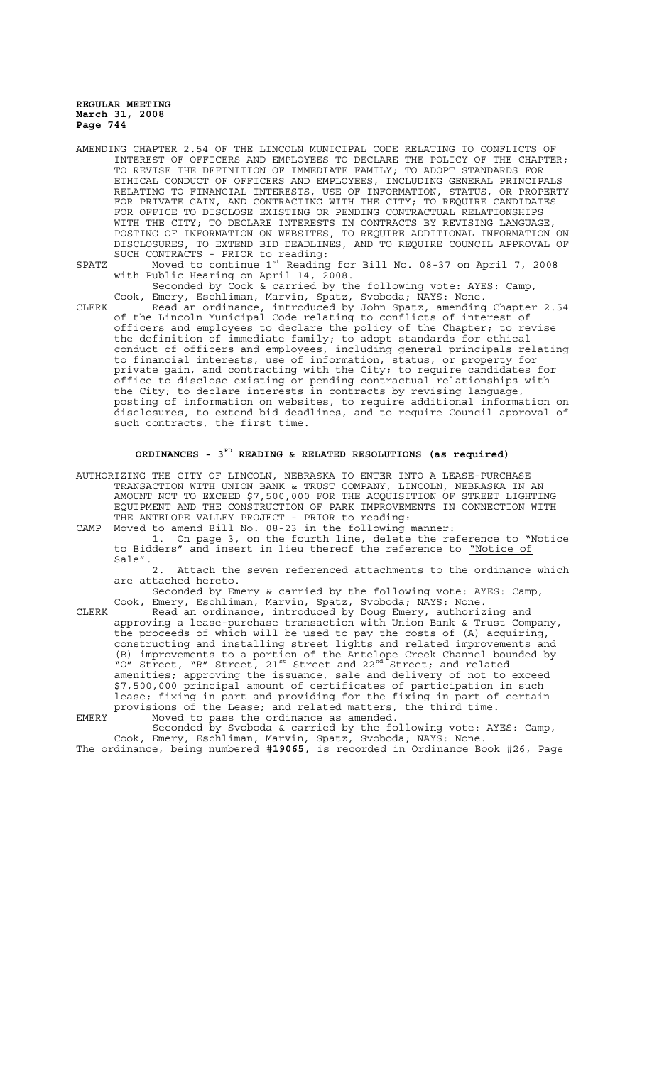- AMENDING CHAPTER 2.54 OF THE LINCOLN MUNICIPAL CODE RELATING TO CONFLICTS OF INTEREST OF OFFICERS AND EMPLOYEES TO DECLARE THE POLICY OF THE CHAPTER; TO REVISE THE DEFINITION OF IMMEDIATE FAMILY; TO ADOPT STANDARDS FOR ETHICAL CONDUCT OF OFFICERS AND EMPLOYEES, INCLUDING GENERAL PRINCIPALS RELATING TO FINANCIAL INTERESTS, USE OF INFORMATION, STATUS, OR PROPERTY FOR PRIVATE GAIN, AND CONTRACTING WITH THE CITY; TO REQUIRE CANDIDATES FOR OFFICE TO DISCLOSE EXISTING OR PENDING CONTRACTUAL RELATIONSHIPS WITH THE CITY; TO DECLARE INTERESTS IN CONTRACTS BY REVISING LANGUAGE, POSTING OF INFORMATION ON WEBSITES, TO REQUIRE ADDITIONAL INFORMATION ON DISCLOSURES, TO EXTEND BID DEADLINES, AND TO REQUIRE COUNCIL APPROVAL OF SUCH CONTRACTS - PRIOR to reading:
- SPATZ Moved to continue  $1^{st}$  Reading for Bill No. 08-37 on April 7, 2008 with Public Hearing on April 14, 2008.

Seconded by Cook & carried by the following vote: AYES: Camp, Cook, Emery, Eschliman, Marvin, Spatz, Svoboda; NAYS: None.

CLERK Read an ordinance, introduced by John Spatz, amending Chapter 2.54 of the Lincoln Municipal Code relating to conflicts of interest of officers and employees to declare the policy of the Chapter; to revise the definition of immediate family; to adopt standards for ethical conduct of officers and employees, including general principals relating to financial interests, use of information, status, or property for private gain, and contracting with the City; to require candidates for office to disclose existing or pending contractual relationships with the City; to declare interests in contracts by revising language, posting of information on websites, to require additional information on disclosures, to extend bid deadlines, and to require Council approval of such contracts, the first time.

## **ORDINANCES - 3RD READING & RELATED RESOLUTIONS (as required)**

AUTHORIZING THE CITY OF LINCOLN, NEBRASKA TO ENTER INTO A LEASE-PURCHASE TRANSACTION WITH UNION BANK & TRUST COMPANY, LINCOLN, NEBRASKA IN AN AMOUNT NOT TO EXCEED \$7,500,000 FOR THE ACQUISITION OF STREET LIGHTING EQUIPMENT AND THE CONSTRUCTION OF PARK IMPROVEMENTS IN CONNECTION WITH THE ANTELOPE VALLEY PROJECT - PRIOR to reading:

CAMP Moved to amend Bill No. 08-23 in the following manner: 1. On page 3, on the fourth line, delete the reference to "Notice to Bidders" and insert in lieu thereof the reference to *"Notice of* Sale".

2. Attach the seven referenced attachments to the ordinance which are attached hereto.

Seconded by Emery & carried by the following vote: AYES: Camp, Cook, Emery, Eschliman, Marvin, Spatz, Svoboda; NAYS: None.

CLERK Read an ordinance, introduced by Doug Emery, authorizing and approving a lease-purchase transaction with Union Bank & Trust Company, the proceeds of which will be used to pay the costs of (A) acquiring, constructing and installing street lights and related improvements and (B) improvements to a portion of the Antelope Creek Channel bounded by "O" Street, "R" Street,  $21^{st}$  Street and  $22^{nd}$  Street; and related amenities; approving the issuance, sale and delivery of not to exceed \$7,500,000 principal amount of certificates of participation in such lease; fixing in part and providing for the fixing in part of certain provisions of the Lease; and related matters, the third time. EMERY Moved to pass the ordinance as amended.

Seconded by Svoboda & carried by the following vote: AYES: Camp, Cook, Emery, Eschliman, Marvin, Spatz, Svoboda; NAYS: None.

The ordinance, being numbered **#19065**, is recorded in Ordinance Book #26, Page